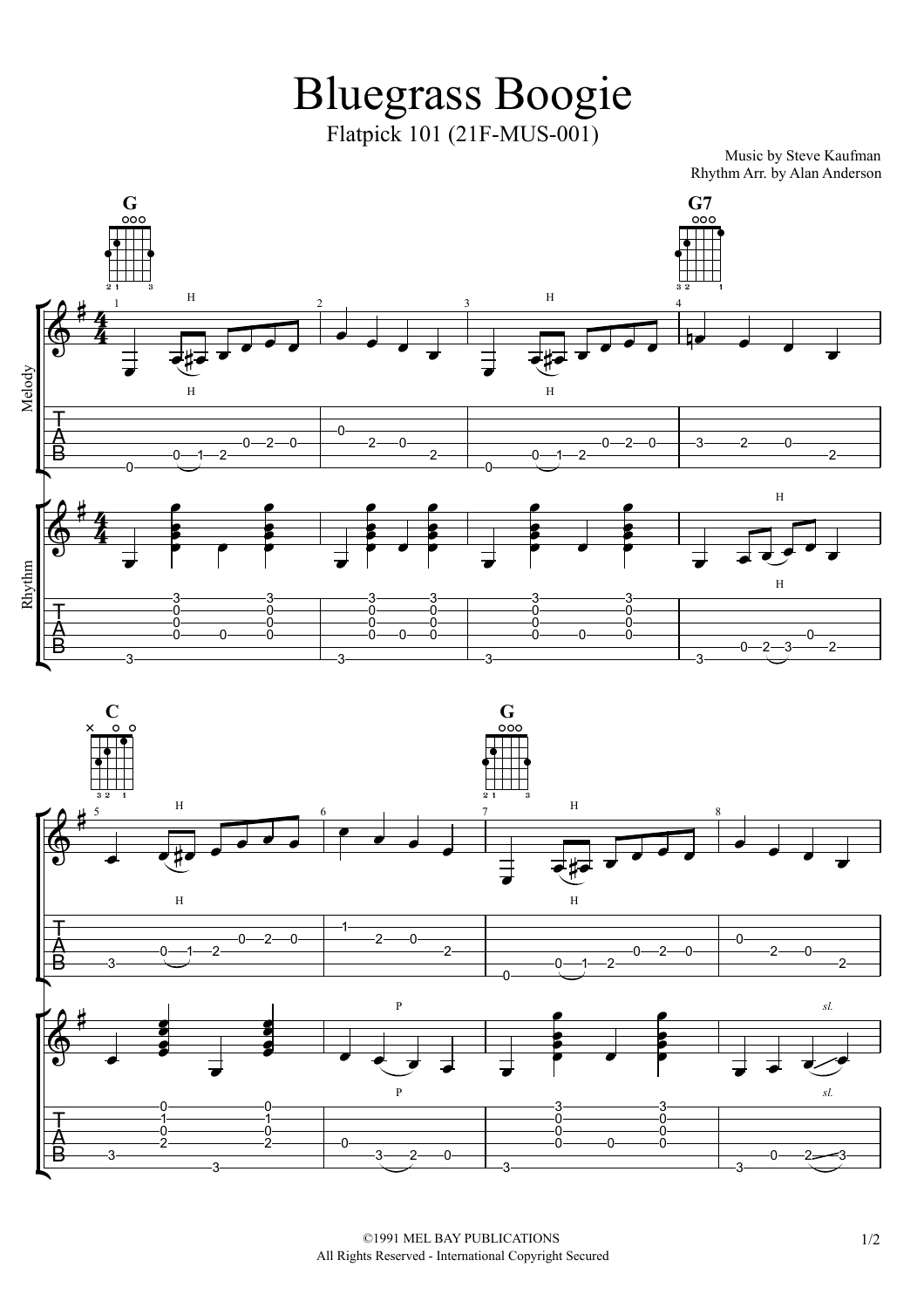Bluegrass Boogie Flatpick 101 (21F-MUS-001)

Music by Steve Kaufman Rhythm Arr. by Alan Anderson